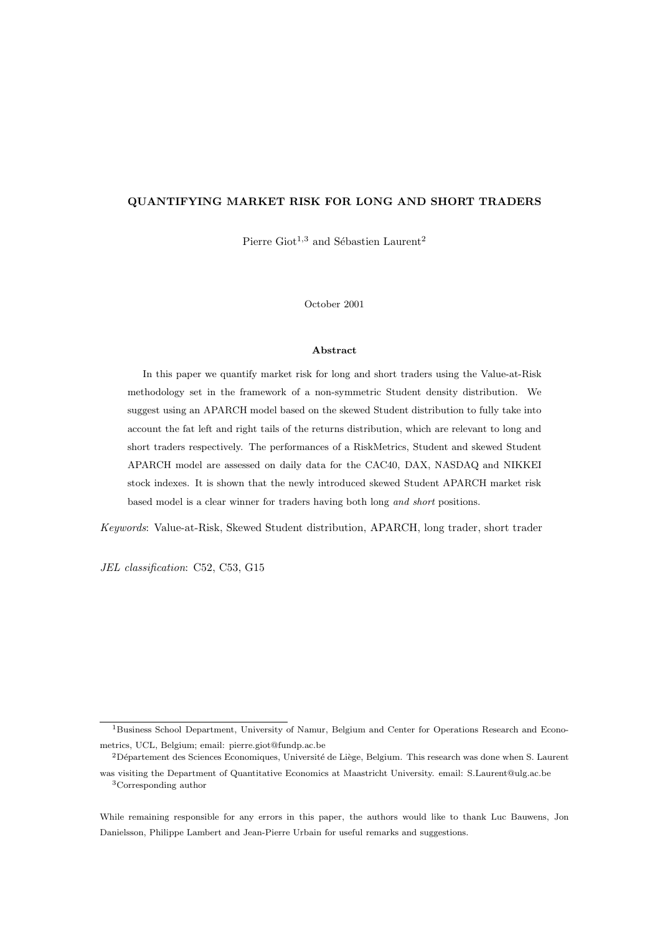## QUANTIFYING MARKET RISK FOR LONG AND SHORT TRADERS

Pierre Giot<sup>1,3</sup> and Sébastien Laurent<sup>2</sup>

October 2001

#### Abstract

In this paper we quantify market risk for long and short traders using the Value-at-Risk methodology set in the framework of a non-symmetric Student density distribution. We suggest using an APARCH model based on the skewed Student distribution to fully take into account the fat left and right tails of the returns distribution, which are relevant to long and short traders respectively. The performances of a RiskMetrics, Student and skewed Student APARCH model are assessed on daily data for the CAC40, DAX, NASDAQ and NIKKEI stock indexes. It is shown that the newly introduced skewed Student APARCH market risk based model is a clear winner for traders having both long and short positions.

Keywords: Value-at-Risk, Skewed Student distribution, APARCH, long trader, short trader

JEL classification: C52, C53, G15

<sup>&</sup>lt;sup>1</sup>Business School Department, University of Namur, Belgium and Center for Operations Research and Econometrics, UCL, Belgium; email: pierre.giot@fundp.ac.be

 $2$ Département des Sciences Economiques, Université de Liège, Belgium. This research was done when S. Laurent was visiting the Department of Quantitative Economics at Maastricht University. email: S.Laurent@ulg.ac.be

<sup>3</sup>Corresponding author

While remaining responsible for any errors in this paper, the authors would like to thank Luc Bauwens, Jon Danielsson, Philippe Lambert and Jean-Pierre Urbain for useful remarks and suggestions.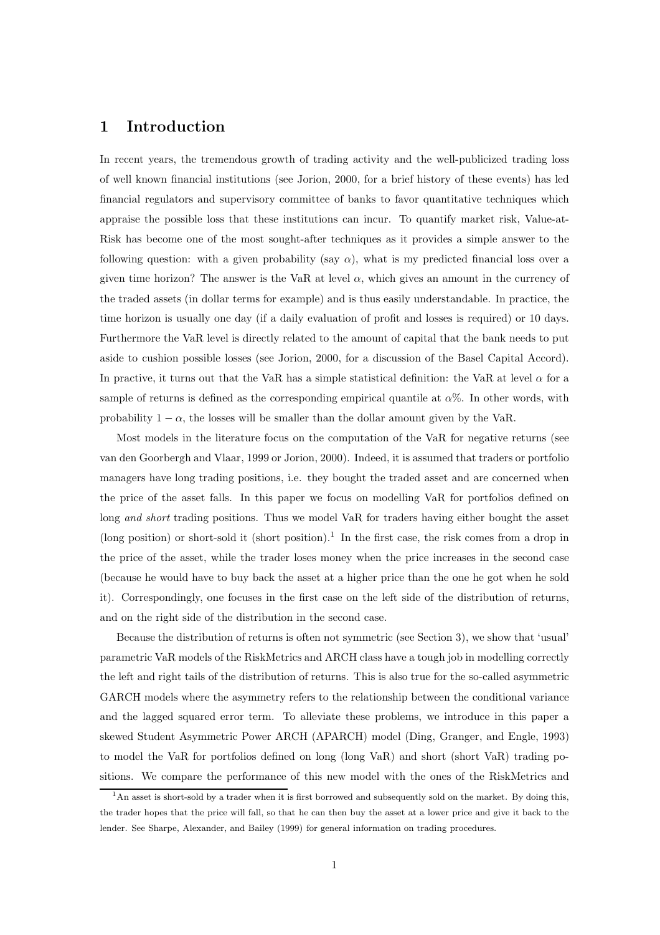# 1 Introduction

In recent years, the tremendous growth of trading activity and the well-publicized trading loss of well known financial institutions (see Jorion, 2000, for a brief history of these events) has led financial regulators and supervisory committee of banks to favor quantitative techniques which appraise the possible loss that these institutions can incur. To quantify market risk, Value-at-Risk has become one of the most sought-after techniques as it provides a simple answer to the following question: with a given probability (say  $\alpha$ ), what is my predicted financial loss over a given time horizon? The answer is the VaR at level  $\alpha$ , which gives an amount in the currency of the traded assets (in dollar terms for example) and is thus easily understandable. In practice, the time horizon is usually one day (if a daily evaluation of profit and losses is required) or 10 days. Furthermore the VaR level is directly related to the amount of capital that the bank needs to put aside to cushion possible losses (see Jorion, 2000, for a discussion of the Basel Capital Accord). In practive, it turns out that the VaR has a simple statistical definition: the VaR at level  $\alpha$  for a sample of returns is defined as the corresponding empirical quantile at  $\alpha$ %. In other words, with probability  $1 - \alpha$ , the losses will be smaller than the dollar amount given by the VaR.

Most models in the literature focus on the computation of the VaR for negative returns (see van den Goorbergh and Vlaar, 1999 or Jorion, 2000). Indeed, it is assumed that traders or portfolio managers have long trading positions, i.e. they bought the traded asset and are concerned when the price of the asset falls. In this paper we focus on modelling VaR for portfolios defined on long and short trading positions. Thus we model VaR for traders having either bought the asset (long position) or short-sold it (short position).<sup>1</sup> In the first case, the risk comes from a drop in the price of the asset, while the trader loses money when the price increases in the second case (because he would have to buy back the asset at a higher price than the one he got when he sold it). Correspondingly, one focuses in the first case on the left side of the distribution of returns, and on the right side of the distribution in the second case.

Because the distribution of returns is often not symmetric (see Section 3), we show that 'usual' parametric VaR models of the RiskMetrics and ARCH class have a tough job in modelling correctly the left and right tails of the distribution of returns. This is also true for the so-called asymmetric GARCH models where the asymmetry refers to the relationship between the conditional variance and the lagged squared error term. To alleviate these problems, we introduce in this paper a skewed Student Asymmetric Power ARCH (APARCH) model (Ding, Granger, and Engle, 1993) to model the VaR for portfolios defined on long (long VaR) and short (short VaR) trading positions. We compare the performance of this new model with the ones of the RiskMetrics and

<sup>&</sup>lt;sup>1</sup>An asset is short-sold by a trader when it is first borrowed and subsequently sold on the market. By doing this, the trader hopes that the price will fall, so that he can then buy the asset at a lower price and give it back to the lender. See Sharpe, Alexander, and Bailey (1999) for general information on trading procedures.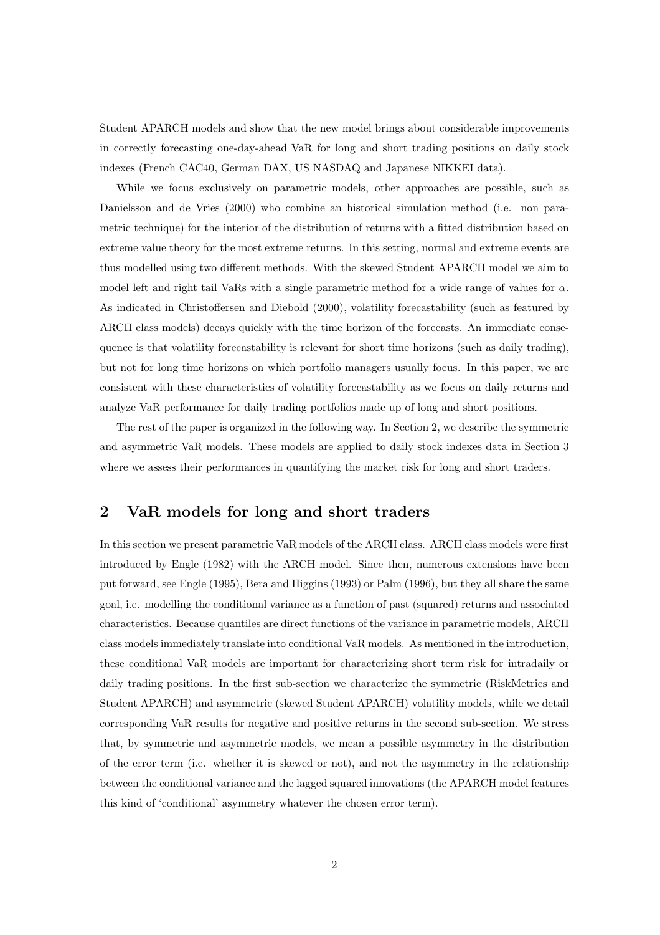Student APARCH models and show that the new model brings about considerable improvements in correctly forecasting one-day-ahead VaR for long and short trading positions on daily stock indexes (French CAC40, German DAX, US NASDAQ and Japanese NIKKEI data).

While we focus exclusively on parametric models, other approaches are possible, such as Danielsson and de Vries (2000) who combine an historical simulation method (i.e. non parametric technique) for the interior of the distribution of returns with a fitted distribution based on extreme value theory for the most extreme returns. In this setting, normal and extreme events are thus modelled using two different methods. With the skewed Student APARCH model we aim to model left and right tail VaRs with a single parametric method for a wide range of values for  $\alpha$ . As indicated in Christoffersen and Diebold (2000), volatility forecastability (such as featured by ARCH class models) decays quickly with the time horizon of the forecasts. An immediate consequence is that volatility forecastability is relevant for short time horizons (such as daily trading), but not for long time horizons on which portfolio managers usually focus. In this paper, we are consistent with these characteristics of volatility forecastability as we focus on daily returns and analyze VaR performance for daily trading portfolios made up of long and short positions.

The rest of the paper is organized in the following way. In Section 2, we describe the symmetric and asymmetric VaR models. These models are applied to daily stock indexes data in Section 3 where we assess their performances in quantifying the market risk for long and short traders.

# 2 VaR models for long and short traders

In this section we present parametric VaR models of the ARCH class. ARCH class models were first introduced by Engle (1982) with the ARCH model. Since then, numerous extensions have been put forward, see Engle (1995), Bera and Higgins (1993) or Palm (1996), but they all share the same goal, i.e. modelling the conditional variance as a function of past (squared) returns and associated characteristics. Because quantiles are direct functions of the variance in parametric models, ARCH class models immediately translate into conditional VaR models. As mentioned in the introduction, these conditional VaR models are important for characterizing short term risk for intradaily or daily trading positions. In the first sub-section we characterize the symmetric (RiskMetrics and Student APARCH) and asymmetric (skewed Student APARCH) volatility models, while we detail corresponding VaR results for negative and positive returns in the second sub-section. We stress that, by symmetric and asymmetric models, we mean a possible asymmetry in the distribution of the error term (i.e. whether it is skewed or not), and not the asymmetry in the relationship between the conditional variance and the lagged squared innovations (the APARCH model features this kind of 'conditional' asymmetry whatever the chosen error term).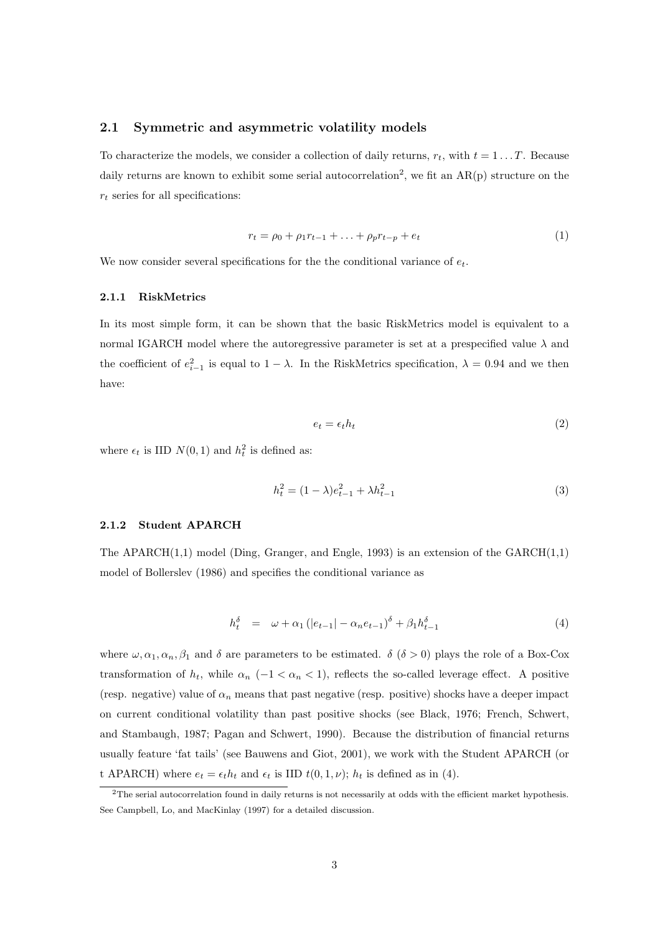## 2.1 Symmetric and asymmetric volatility models

To characterize the models, we consider a collection of daily returns,  $r_t$ , with  $t = 1...T$ . Because daily returns are known to exhibit some serial autocorrelation<sup>2</sup>, we fit an  $AR(p)$  structure on the  $r_t$  series for all specifications:

$$
r_t = \rho_0 + \rho_1 r_{t-1} + \ldots + \rho_p r_{t-p} + e_t \tag{1}
$$

We now consider several specifications for the the conditional variance of  $e_t$ .

### 2.1.1 RiskMetrics

In its most simple form, it can be shown that the basic RiskMetrics model is equivalent to a normal IGARCH model where the autoregressive parameter is set at a prespecified value  $\lambda$  and the coefficient of  $e_{i-1}^2$  is equal to  $1 - \lambda$ . In the RiskMetrics specification,  $\lambda = 0.94$  and we then have:

$$
e_t = \epsilon_t h_t \tag{2}
$$

where  $\epsilon_t$  is IID  $N(0, 1)$  and  $h_t^2$  is defined as:

$$
h_t^2 = (1 - \lambda)e_{t-1}^2 + \lambda h_{t-1}^2 \tag{3}
$$

#### 2.1.2 Student APARCH

The APARCH(1,1) model (Ding, Granger, and Engle, 1993) is an extension of the GARCH(1,1) model of Bollerslev (1986) and specifies the conditional variance as

$$
h_t^{\delta} = \omega + \alpha_1 (|e_{t-1}| - \alpha_n e_{t-1})^{\delta} + \beta_1 h_{t-1}^{\delta}
$$
 (4)

where  $\omega, \alpha_1, \alpha_n, \beta_1$  and  $\delta$  are parameters to be estimated.  $\delta$  ( $\delta > 0$ ) plays the role of a Box-Cox transformation of  $h_t$ , while  $\alpha_n$  (-1 <  $\alpha_n$  < 1), reflects the so-called leverage effect. A positive (resp. negative) value of  $\alpha_n$  means that past negative (resp. positive) shocks have a deeper impact on current conditional volatility than past positive shocks (see Black, 1976; French, Schwert, and Stambaugh, 1987; Pagan and Schwert, 1990). Because the distribution of financial returns usually feature 'fat tails' (see Bauwens and Giot, 2001), we work with the Student APARCH (or t APARCH) where  $e_t = \epsilon_t h_t$  and  $\epsilon_t$  is IID  $t(0, 1, \nu)$ ;  $h_t$  is defined as in (4).

<sup>2</sup>The serial autocorrelation found in daily returns is not necessarily at odds with the efficient market hypothesis. See Campbell, Lo, and MacKinlay (1997) for a detailed discussion.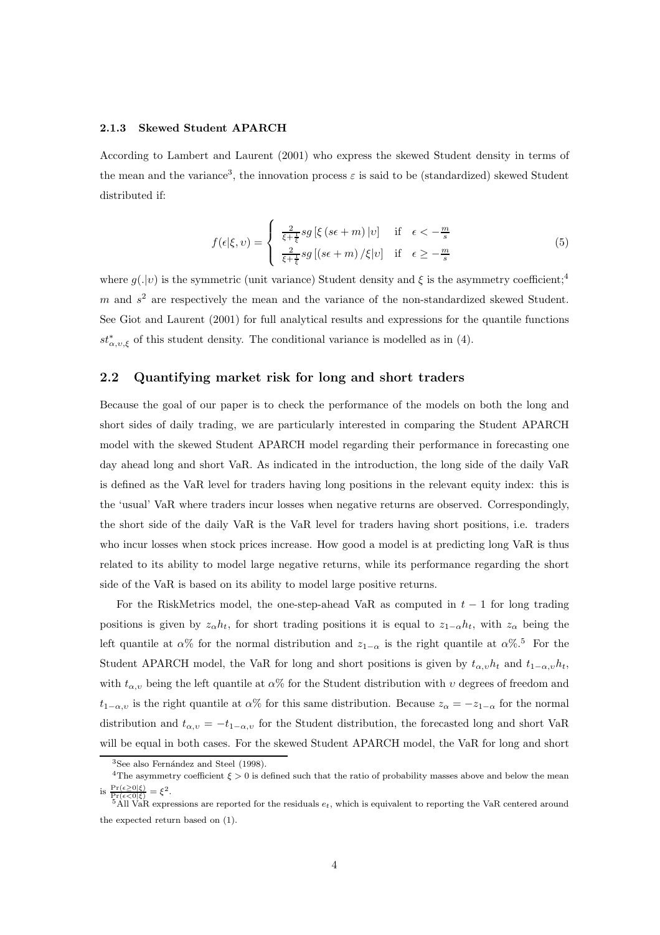#### 2.1.3 Skewed Student APARCH

According to Lambert and Laurent (2001) who express the skewed Student density in terms of the mean and the variance<sup>3</sup>, the innovation process  $\varepsilon$  is said to be (standardized) skewed Student distributed if:

$$
f(\epsilon|\xi, v) = \begin{cases} \frac{2}{\xi + \frac{1}{\xi}} sg\left[\xi\left(s\epsilon + m\right)|v\right] & \text{if } \epsilon < -\frac{m}{s} \\ \frac{2}{\xi + \frac{1}{\xi}} sg\left[\left(s\epsilon + m\right)/\xi|v\right] & \text{if } \epsilon \ge -\frac{m}{s} \end{cases} \tag{5}
$$

where  $g(.|v)$  is the symmetric (unit variance) Student density and  $\xi$  is the asymmetry coefficient;<sup>4</sup>  $m$  and  $s<sup>2</sup>$  are respectively the mean and the variance of the non-standardized skewed Student. See Giot and Laurent (2001) for full analytical results and expressions for the quantile functions  $st^*_{\alpha,\nu,\xi}$  of this student density. The conditional variance is modelled as in (4).

### 2.2 Quantifying market risk for long and short traders

Because the goal of our paper is to check the performance of the models on both the long and short sides of daily trading, we are particularly interested in comparing the Student APARCH model with the skewed Student APARCH model regarding their performance in forecasting one day ahead long and short VaR. As indicated in the introduction, the long side of the daily VaR is defined as the VaR level for traders having long positions in the relevant equity index: this is the 'usual' VaR where traders incur losses when negative returns are observed. Correspondingly, the short side of the daily VaR is the VaR level for traders having short positions, i.e. traders who incur losses when stock prices increase. How good a model is at predicting long VaR is thus related to its ability to model large negative returns, while its performance regarding the short side of the VaR is based on its ability to model large positive returns.

For the RiskMetrics model, the one-step-ahead VaR as computed in  $t-1$  for long trading positions is given by  $z_{\alpha}h_t$ , for short trading positions it is equal to  $z_{1-\alpha}h_t$ , with  $z_{\alpha}$  being the left quantile at  $\alpha$ % for the normal distribution and  $z_{1-\alpha}$  is the right quantile at  $\alpha$ %.<sup>5</sup> For the Student APARCH model, the VaR for long and short positions is given by  $t_{\alpha,v}h_t$  and  $t_{1-\alpha,v}h_t$ , with  $t_{\alpha,v}$  being the left quantile at  $\alpha\%$  for the Student distribution with  $v$  degrees of freedom and  $t_{1-\alpha,v}$  is the right quantile at  $\alpha\%$  for this same distribution. Because  $z_{\alpha} = -z_{1-\alpha}$  for the normal distribution and  $t_{\alpha,v} = -t_{1-\alpha,v}$  for the Student distribution, the forecasted long and short VaR will be equal in both cases. For the skewed Student APARCH model, the VaR for long and short

 $3$ See also Fernández and Steel (1998).

<sup>&</sup>lt;sup>4</sup>The asymmetry coefficient  $\xi > 0$  is defined such that the ratio of probability masses above and below the mean is  $\frac{\Pr(\epsilon \geq 0|\xi)}{\Pr(\epsilon < 0|\xi)} = \xi^2$ .

<sup>&</sup>lt;sup>5</sup>All VaR expressions are reported for the residuals  $e_t$ , which is equivalent to reporting the VaR centered around the expected return based on (1).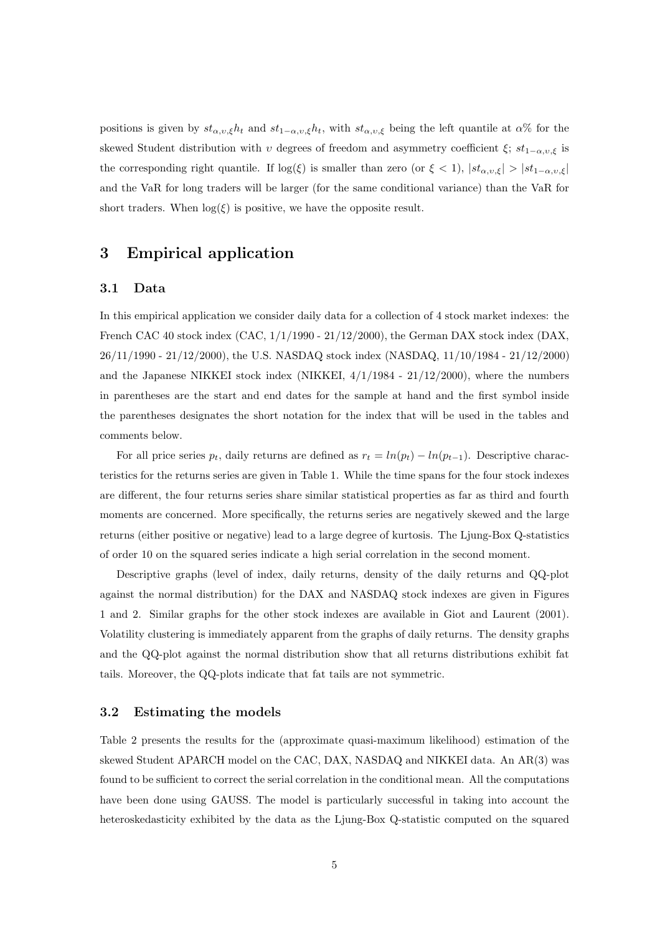positions is given by  $st_{\alpha,v,\xi}h_t$  and  $st_{1-\alpha,v,\xi}h_t$ , with  $st_{\alpha,v,\xi}$  being the left quantile at  $\alpha$ % for the skewed Student distribution with  $v$  degrees of freedom and asymmetry coefficient  $\xi$ ;  $st_{1-\alpha,v,\xi}$  is the corresponding right quantile. If  $log(\xi)$  is smaller than zero (or  $\xi < 1$ ),  $|st_{\alpha,\upsilon,\xi}| > |st_{1-\alpha,\upsilon,\xi}|$ and the VaR for long traders will be larger (for the same conditional variance) than the VaR for short traders. When  $log(\xi)$  is positive, we have the opposite result.

# 3 Empirical application

#### 3.1 Data

In this empirical application we consider daily data for a collection of 4 stock market indexes: the French CAC 40 stock index  $(CAC, 1/1/1990 - 21/12/2000)$ , the German DAX stock index (DAX, 26/11/1990 - 21/12/2000), the U.S. NASDAQ stock index (NASDAQ, 11/10/1984 - 21/12/2000) and the Japanese NIKKEI stock index (NIKKEI, 4/1/1984 - 21/12/2000), where the numbers in parentheses are the start and end dates for the sample at hand and the first symbol inside the parentheses designates the short notation for the index that will be used in the tables and comments below.

For all price series  $p_t$ , daily returns are defined as  $r_t = ln(p_t) - ln(p_{t-1})$ . Descriptive characteristics for the returns series are given in Table 1. While the time spans for the four stock indexes are different, the four returns series share similar statistical properties as far as third and fourth moments are concerned. More specifically, the returns series are negatively skewed and the large returns (either positive or negative) lead to a large degree of kurtosis. The Ljung-Box Q-statistics of order 10 on the squared series indicate a high serial correlation in the second moment.

Descriptive graphs (level of index, daily returns, density of the daily returns and QQ-plot against the normal distribution) for the DAX and NASDAQ stock indexes are given in Figures 1 and 2. Similar graphs for the other stock indexes are available in Giot and Laurent (2001). Volatility clustering is immediately apparent from the graphs of daily returns. The density graphs and the QQ-plot against the normal distribution show that all returns distributions exhibit fat tails. Moreover, the QQ-plots indicate that fat tails are not symmetric.

### 3.2 Estimating the models

Table 2 presents the results for the (approximate quasi-maximum likelihood) estimation of the skewed Student APARCH model on the CAC, DAX, NASDAQ and NIKKEI data. An AR(3) was found to be sufficient to correct the serial correlation in the conditional mean. All the computations have been done using GAUSS. The model is particularly successful in taking into account the heteroskedasticity exhibited by the data as the Ljung-Box Q-statistic computed on the squared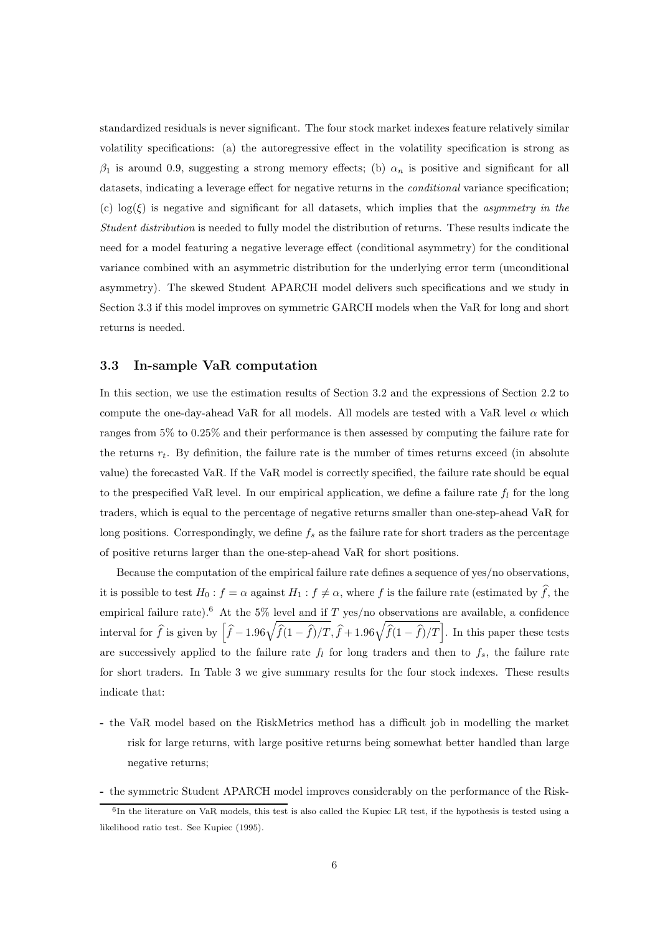standardized residuals is never significant. The four stock market indexes feature relatively similar volatility specifications: (a) the autoregressive effect in the volatility specification is strong as  $\beta_1$  is around 0.9, suggesting a strong memory effects; (b)  $\alpha_n$  is positive and significant for all datasets, indicating a leverage effect for negative returns in the *conditional* variance specification; (c)  $log(\xi)$  is negative and significant for all datasets, which implies that the *asymmetry in the* Student distribution is needed to fully model the distribution of returns. These results indicate the need for a model featuring a negative leverage effect (conditional asymmetry) for the conditional variance combined with an asymmetric distribution for the underlying error term (unconditional asymmetry). The skewed Student APARCH model delivers such specifications and we study in Section 3.3 if this model improves on symmetric GARCH models when the VaR for long and short returns is needed.

### 3.3 In-sample VaR computation

In this section, we use the estimation results of Section 3.2 and the expressions of Section 2.2 to compute the one-day-ahead VaR for all models. All models are tested with a VaR level  $\alpha$  which ranges from 5% to 0.25% and their performance is then assessed by computing the failure rate for the returns  $r_t$ . By definition, the failure rate is the number of times returns exceed (in absolute value) the forecasted VaR. If the VaR model is correctly specified, the failure rate should be equal to the prespecified VaR level. In our empirical application, we define a failure rate  $f_l$  for the long traders, which is equal to the percentage of negative returns smaller than one-step-ahead VaR for long positions. Correspondingly, we define  $f_s$  as the failure rate for short traders as the percentage of positive returns larger than the one-step-ahead VaR for short positions.

Because the computation of the empirical failure rate defines a sequence of yes/no observations, it is possible to test  $H_0: f = \alpha$  against  $H_1: f \neq \alpha$ , where f is the failure rate (estimated by  $\hat{f}$ , the empirical failure rate).<sup>6</sup> At the 5% level and if T yes/no observations are available, a confidence interval for  $\widehat{f}$  is given by  $\left[\widehat{f}-1.96\sqrt{\widehat{f}(1-\widehat{f})/T}, \widehat{f}+1.96\sqrt{\widehat{f}(1-\widehat{f})/T}\right]$ . In this paper these tests are successively applied to the failure rate  $f_l$  for long traders and then to  $f_s$ , the failure rate for short traders. In Table 3 we give summary results for the four stock indexes. These results indicate that:

- the VaR model based on the RiskMetrics method has a difficult job in modelling the market risk for large returns, with large positive returns being somewhat better handled than large negative returns;
- the symmetric Student APARCH model improves considerably on the performance of the Risk-

<sup>6</sup> In the literature on VaR models, this test is also called the Kupiec LR test, if the hypothesis is tested using a likelihood ratio test. See Kupiec (1995).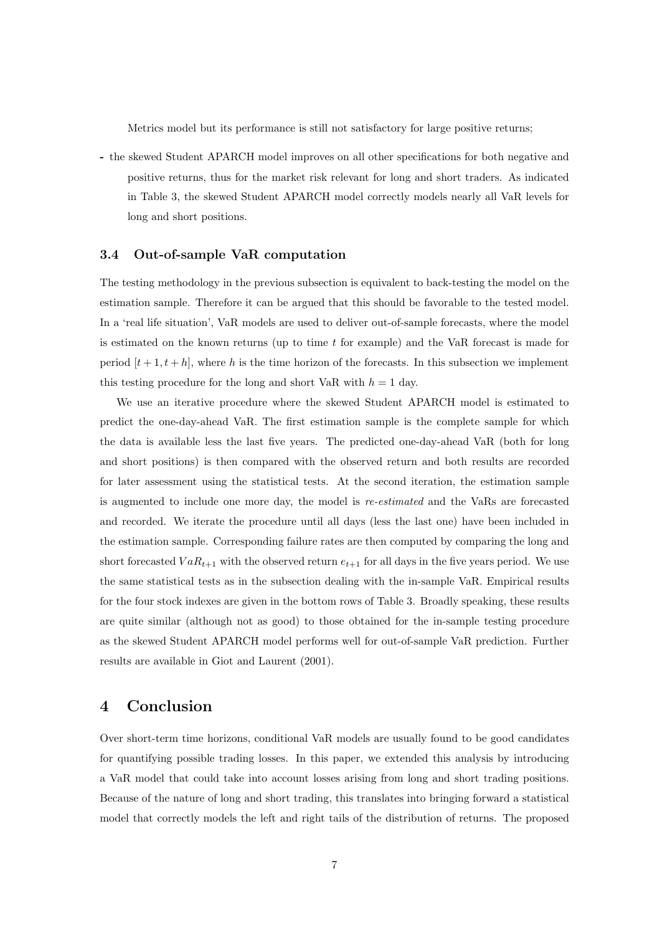Metrics model but its performance is still not satisfactory for large positive returns;

- the skewed Student APARCH model improves on all other specifications for both negative and positive returns, thus for the market risk relevant for long and short traders. As indicated in Table 3, the skewed Student APARCH model correctly models nearly all VaR levels for long and short positions.

### 3.4 Out-of-sample VaR computation

The testing methodology in the previous subsection is equivalent to back-testing the model on the estimation sample. Therefore it can be argued that this should be favorable to the tested model. In a 'real life situation', VaR models are used to deliver out-of-sample forecasts, where the model is estimated on the known returns (up to time  $t$  for example) and the VaR forecast is made for period  $[t+1, t+h]$ , where h is the time horizon of the forecasts. In this subsection we implement this testing procedure for the long and short VaR with  $h = 1$  day.

We use an iterative procedure where the skewed Student APARCH model is estimated to predict the one-day-ahead VaR. The first estimation sample is the complete sample for which the data is available less the last five years. The predicted one-day-ahead VaR (both for long and short positions) is then compared with the observed return and both results are recorded for later assessment using the statistical tests. At the second iteration, the estimation sample is augmented to include one more day, the model is re-estimated and the VaRs are forecasted and recorded. We iterate the procedure until all days (less the last one) have been included in the estimation sample. Corresponding failure rates are then computed by comparing the long and short forecasted  $VaR_{t+1}$  with the observed return  $e_{t+1}$  for all days in the five years period. We use the same statistical tests as in the subsection dealing with the in-sample VaR. Empirical results for the four stock indexes are given in the bottom rows of Table 3. Broadly speaking, these results are quite similar (although not as good) to those obtained for the in-sample testing procedure as the skewed Student APARCH model performs well for out-of-sample VaR prediction. Further results are available in Giot and Laurent (2001).

# 4 Conclusion

Over short-term time horizons, conditional VaR models are usually found to be good candidates for quantifying possible trading losses. In this paper, we extended this analysis by introducing a VaR model that could take into account losses arising from long and short trading positions. Because of the nature of long and short trading, this translates into bringing forward a statistical model that correctly models the left and right tails of the distribution of returns. The proposed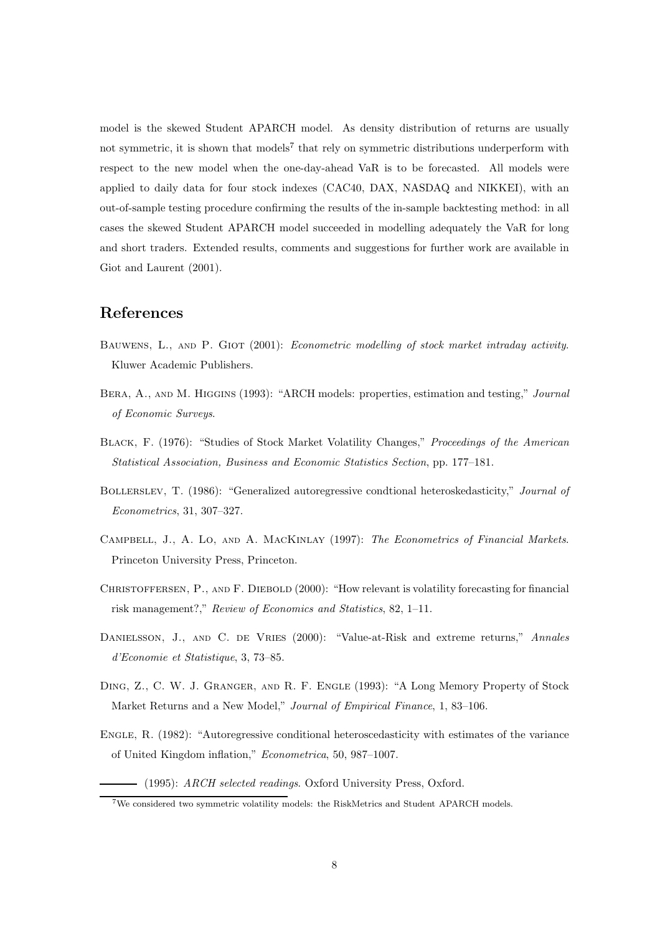model is the skewed Student APARCH model. As density distribution of returns are usually not symmetric, it is shown that models<sup>7</sup> that rely on symmetric distributions underperform with respect to the new model when the one-day-ahead VaR is to be forecasted. All models were applied to daily data for four stock indexes (CAC40, DAX, NASDAQ and NIKKEI), with an out-of-sample testing procedure confirming the results of the in-sample backtesting method: in all cases the skewed Student APARCH model succeeded in modelling adequately the VaR for long and short traders. Extended results, comments and suggestions for further work are available in Giot and Laurent (2001).

# References

- Bauwens, L., and P. Giot (2001): Econometric modelling of stock market intraday activity. Kluwer Academic Publishers.
- Bera, A., and M. Higgins (1993): "ARCH models: properties, estimation and testing," Journal of Economic Surveys.
- BLACK, F. (1976): "Studies of Stock Market Volatility Changes," Proceedings of the American Statistical Association, Business and Economic Statistics Section, pp. 177–181.
- Bollerslev, T. (1986): "Generalized autoregressive condtional heteroskedasticity," Journal of Econometrics, 31, 307–327.
- Campbell, J., A. Lo, and A. MacKinlay (1997): The Econometrics of Financial Markets. Princeton University Press, Princeton.
- CHRISTOFFERSEN, P., AND F. DIEBOLD (2000): "How relevant is volatility forecasting for financial risk management?," Review of Economics and Statistics, 82, 1–11.
- DANIELSSON, J., AND C. DE VRIES (2000): "Value-at-Risk and extreme returns," Annales d'Economie et Statistique, 3, 73–85.
- Ding, Z., C. W. J. Granger, and R. F. Engle (1993): "A Long Memory Property of Stock Market Returns and a New Model," Journal of Empirical Finance, 1, 83–106.
- Engle, R. (1982): "Autoregressive conditional heteroscedasticity with estimates of the variance of United Kingdom inflation," Econometrica, 50, 987–1007.
	- (1995): ARCH selected readings. Oxford University Press, Oxford.

<sup>7</sup>We considered two symmetric volatility models: the RiskMetrics and Student APARCH models.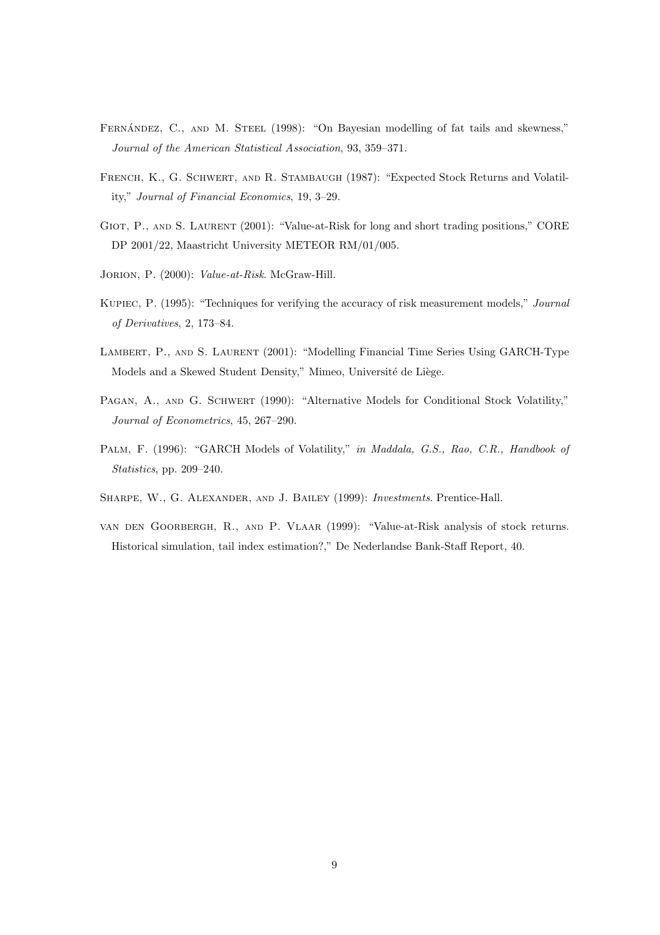- FERNÁNDEZ, C., AND M. STEEL (1998): "On Bayesian modelling of fat tails and skewness," Journal of the American Statistical Association, 93, 359–371.
- French, K., G. Schwert, and R. Stambaugh (1987): "Expected Stock Returns and Volatility," Journal of Financial Economics, 19, 3–29.
- Giot, P., and S. Laurent (2001): "Value-at-Risk for long and short trading positions," CORE DP 2001/22, Maastricht University METEOR RM/01/005.
- Jorion, P. (2000): Value-at-Risk. McGraw-Hill.
- Kupiec, P. (1995): "Techniques for verifying the accuracy of risk measurement models," Journal of Derivatives, 2, 173–84.
- Lambert, P., and S. Laurent (2001): "Modelling Financial Time Series Using GARCH-Type Models and a Skewed Student Density," Mimeo, Université de Liège.
- PAGAN, A., AND G. SCHWERT (1990): "Alternative Models for Conditional Stock Volatility," Journal of Econometrics, 45, 267–290.
- PALM, F. (1996): "GARCH Models of Volatility," in Maddala, G.S., Rao, C.R., Handbook of Statistics, pp. 209–240.
- Sharpe, W., G. Alexander, and J. Bailey (1999): Investments. Prentice-Hall.
- van den Goorbergh, R., and P. Vlaar (1999): "Value-at-Risk analysis of stock returns. Historical simulation, tail index estimation?," De Nederlandse Bank-Staff Report, 40.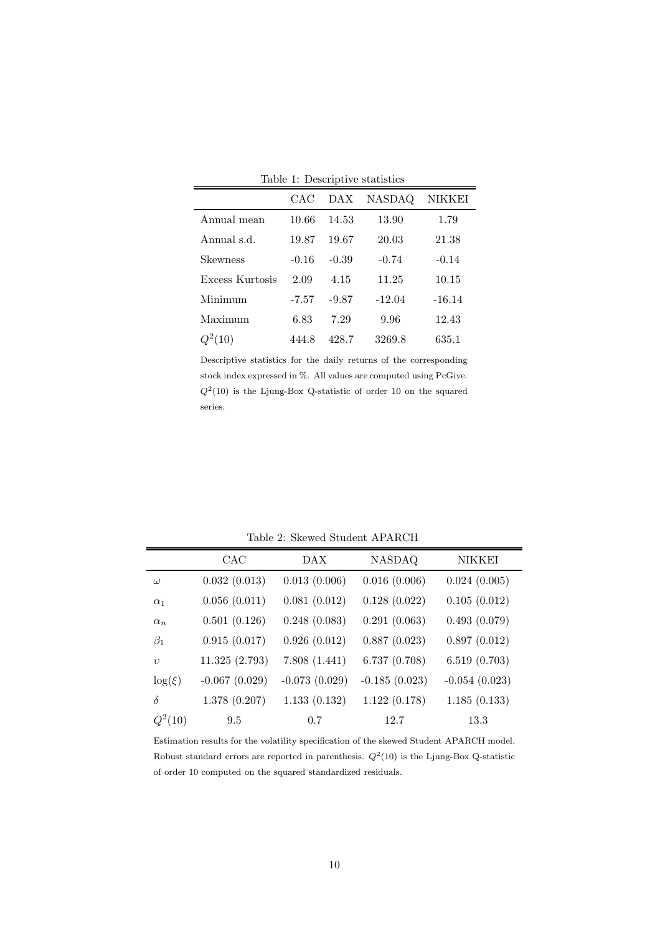|                 | CAC     | DAX     | <b>NASDAQ</b> | NIKKEI   |
|-----------------|---------|---------|---------------|----------|
| Annual mean     | 10.66   | 14.53   | 13.90         | 1.79     |
| Annual s.d.     | 19.87   | 19.67   | 20.03         | 21.38    |
| Skewness        | $-0.16$ | $-0.39$ | $-0.74$       | $-0.14$  |
| Excess Kurtosis | 2.09    | 4.15    | 11.25         | 10.15    |
| Minimum         | $-7.57$ | $-9.87$ | $-12.04$      | $-16.14$ |
| Maximum         | 6.83    | 7.29    | 9.96          | 12.43    |
| (10)            | 444.8   | 428.7   | 3269.8        | 635.1    |

Table 1: Descriptive statistics

Descriptive statistics for the daily returns of the corresponding stock index expressed in %. All values are computed using PcGive.  $Q^2(10)$  is the Ljung-Box Q-statistic of order 10 on the squared series.

|             | CAC             | DAX             | <b>NASDAQ</b>   | NIKKEI          |
|-------------|-----------------|-----------------|-----------------|-----------------|
| $\omega$    | 0.032(0.013)    | 0.013(0.006)    | 0.016(0.006)    | 0.024(0.005)    |
| $\alpha_1$  | 0.056(0.011)    | 0.081(0.012)    | 0.128(0.022)    | 0.105(0.012)    |
| $\alpha_n$  | 0.501(0.126)    | 0.248(0.083)    | 0.291(0.063)    | 0.493(0.079)    |
| $\beta_1$   | 0.915(0.017)    | 0.926(0.012)    | 0.887(0.023)    | 0.897(0.012)    |
| $\upsilon$  | 11.325(2.793)   | 7.808(1.441)    | 6.737(0.708)    | 6.519(0.703)    |
| $\log(\xi)$ | $-0.067(0.029)$ | $-0.073(0.029)$ | $-0.185(0.023)$ | $-0.054(0.023)$ |
| $\delta$    | 1.378(0.207)    | 1.133(0.132)    | 1.122(0.178)    | 1.185(0.133)    |
| $Q^2(10)$   | 9.5             | 0.7             | 12.7            | 13.3            |

Table 2: Skewed Student APARCH

Estimation results for the volatility specification of the skewed Student APARCH model. Robust standard errors are reported in parenthesis.  $Q^2(10)$  is the Ljung-Box Q-statistic of order 10 computed on the squared standardized residuals.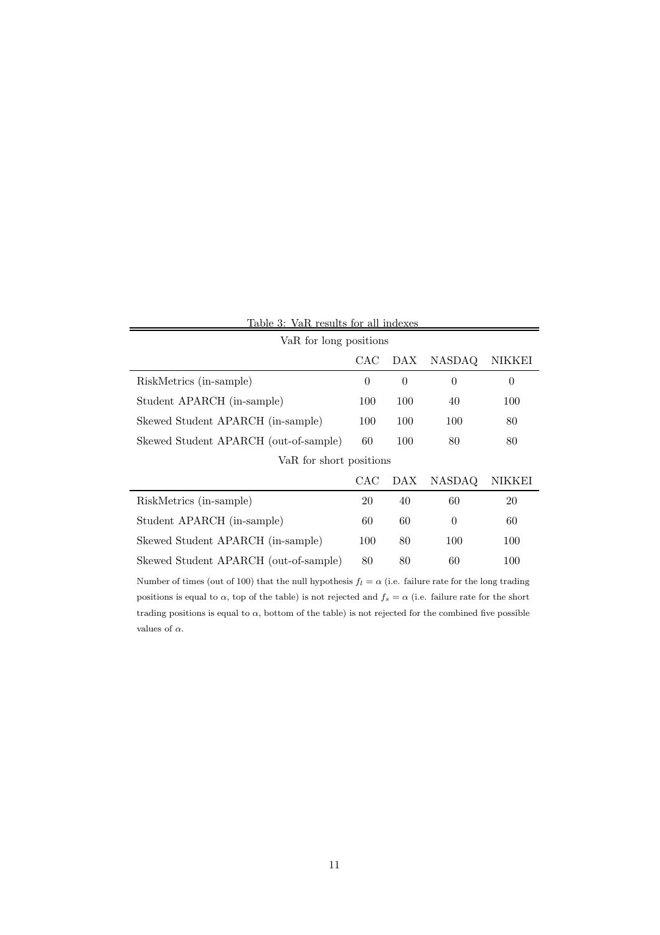| Table 3: VaR results for all indexes  |          |                |          |          |  |  |  |  |
|---------------------------------------|----------|----------------|----------|----------|--|--|--|--|
| VaR for long positions                |          |                |          |          |  |  |  |  |
|                                       | CAC      | DAX            | NASDAQ   | NIKKEI   |  |  |  |  |
| RiskMetrics (in-sample)               | $\theta$ | $\overline{0}$ | $\theta$ | $\theta$ |  |  |  |  |
| Student APARCH (in-sample)            | 100      | 100            | 40       | 100      |  |  |  |  |
| Skewed Student APARCH (in-sample)     |          | 100            | 100      | 80       |  |  |  |  |
| Skewed Student APARCH (out-of-sample) | 60       | 100            | 80       | 80       |  |  |  |  |
| VaR for short positions               |          |                |          |          |  |  |  |  |
|                                       | CAC      | DAX            | NASDAQ   | NIKKEI   |  |  |  |  |
| RiskMetrics (in-sample)               | 20       | 40             | 60       | 20       |  |  |  |  |
| Student APARCH (in-sample)            | 60       | 60             | $\theta$ | 60       |  |  |  |  |
| Skewed Student APARCH (in-sample)     | 100      | 80             | 100      | 100      |  |  |  |  |
| Skewed Student APARCH (out-of-sample) | 80       | 80             | 60       | 100      |  |  |  |  |

Number of times (out of 100) that the null hypothesis  $f_l = \alpha$  (i.e. failure rate for the long trading positions is equal to  $\alpha$ , top of the table) is not rejected and  $f_s = \alpha$  (i.e. failure rate for the short trading positions is equal to  $\alpha$ , bottom of the table) is not rejected for the combined five possible values of  $\alpha$ .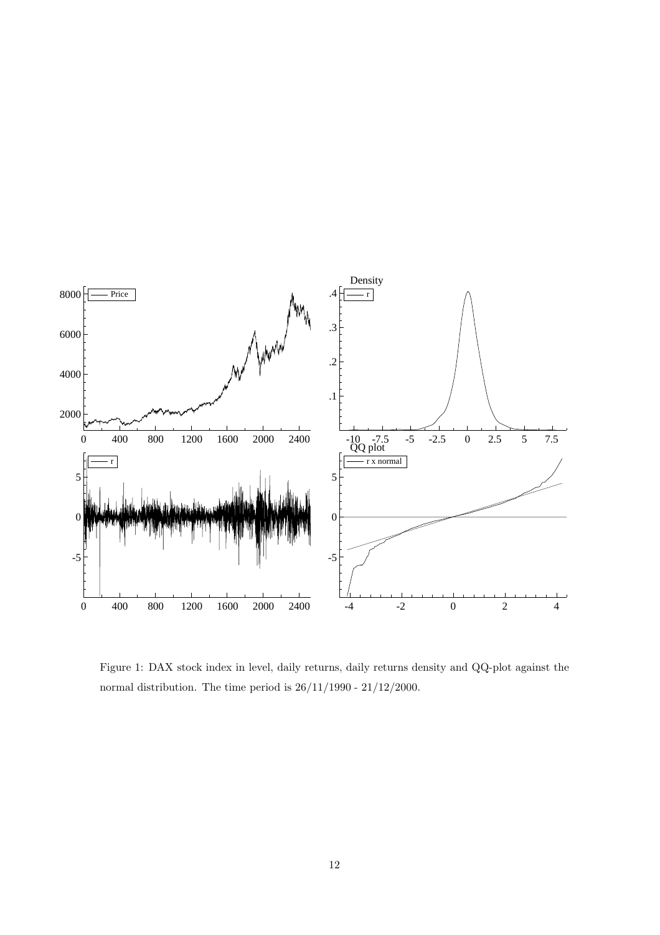

Figure 1: DAX stock index in level, daily returns, daily returns density and QQ-plot against the normal distribution. The time period is  $26/11/1990 - 21/12/2000$ .